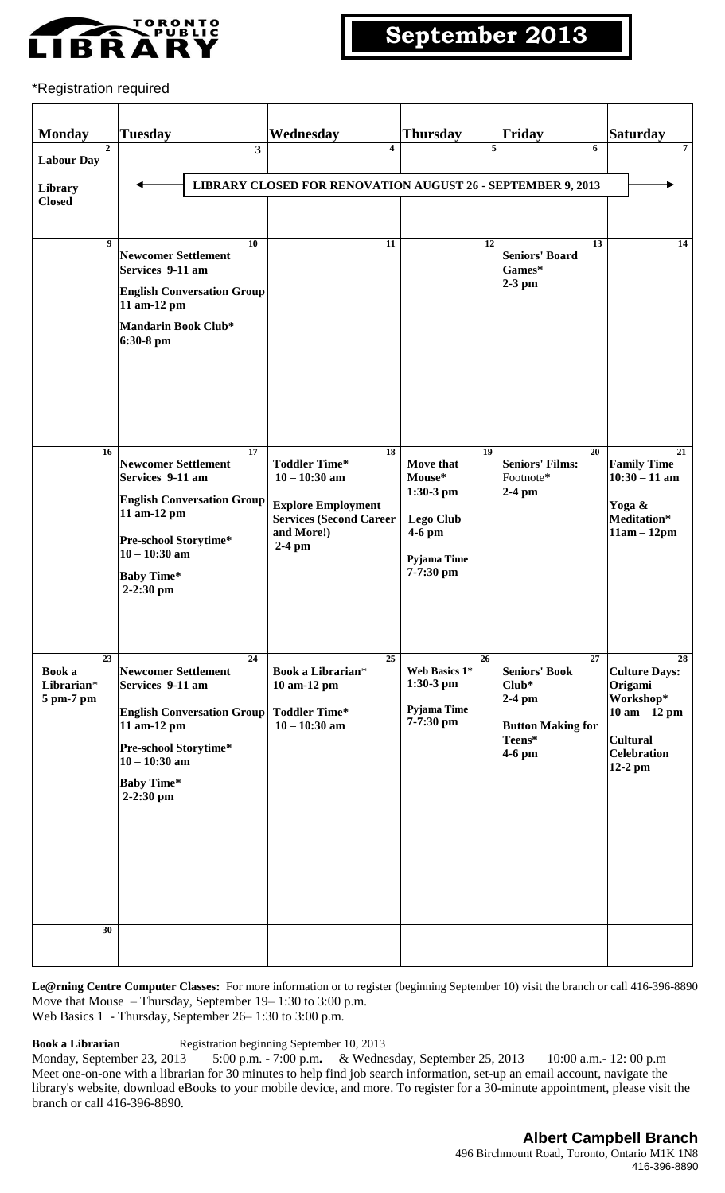

### \*Registration required

| <b>Monday</b>                                                        | <b>Tuesday</b>                                                                                                                                                                         | Wednesday                                                                                                                              | Thursday                                                                                             | Friday                                                                                                         | <b>Saturday</b>                                                                                                            |
|----------------------------------------------------------------------|----------------------------------------------------------------------------------------------------------------------------------------------------------------------------------------|----------------------------------------------------------------------------------------------------------------------------------------|------------------------------------------------------------------------------------------------------|----------------------------------------------------------------------------------------------------------------|----------------------------------------------------------------------------------------------------------------------------|
| $\mathbf{2}$<br><b>Labour Day</b><br><b>Library</b><br><b>Closed</b> | 3                                                                                                                                                                                      | 4<br>LIBRARY CLOSED FOR RENOVATION AUGUST 26 - SEPTEMBER 9, 2013                                                                       | 5                                                                                                    | 6                                                                                                              | 7                                                                                                                          |
| 9                                                                    | 10<br><b>Newcomer Settlement</b><br>Services 9-11 am<br><b>English Conversation Group</b><br>11 am-12 pm<br>Mandarin Book Club*<br>6:30-8 pm                                           | 11                                                                                                                                     | $\overline{12}$                                                                                      | $\overline{13}$<br><b>Seniors' Board</b><br>Games*<br>$2-3$ pm                                                 | 14                                                                                                                         |
| 16                                                                   | 17<br><b>Newcomer Settlement</b><br>Services 9-11 am<br><b>English Conversation Group</b><br>11 am-12 pm<br>Pre-school Storytime*<br>$10 - 10:30$ am<br><b>Baby Time*</b><br>2-2:30 pm | 18<br><b>Toddler Time*</b><br>$10 - 10:30$ am<br><b>Explore Employment</b><br><b>Services (Second Career</b><br>and More!)<br>$2-4$ pm | 19<br>Move that<br>Mouse*<br>$1:30-3$ pm<br><b>Lego Club</b><br>$4-6$ pm<br>Pyjama Time<br>7-7:30 pm | 20<br><b>Seniors' Films:</b><br>Footnote*<br>$2-4$ pm                                                          | 21<br><b>Family Time</b><br>$10:30 - 11$ am<br>Yoga &<br>Meditation*<br>$11am - 12pm$                                      |
| $\overline{23}$<br>Book a<br>Librarian*<br>5 pm-7 pm                 | 24<br><b>Newcomer Settlement</b><br>Services 9-11 am<br><b>English Conversation Group</b><br>11 am-12 pm<br>Pre-school Storytime*<br>$10 - 10:30$ am<br><b>Baby Time*</b><br>2-2:30 pm | 25<br><b>Book a Librarian*</b><br>10 am-12 pm<br><b>Toddler Time*</b><br>$10 - 10:30$ am                                               | 26<br>Web Basics 1*<br>$1:30-3$ pm<br>Pyjama Time<br>7-7:30 pm                                       | $\overline{27}$<br><b>Seniors' Book</b><br>$Club*$<br>$2-4$ pm<br><b>Button Making for</b><br>Teens*<br>4-6 pm | 28<br><b>Culture Days:</b><br>Origami<br>Workshop*<br>$10$ am $-12$ pm<br><b>Cultural</b><br><b>Celebration</b><br>12-2 pm |
| 30                                                                   |                                                                                                                                                                                        |                                                                                                                                        |                                                                                                      |                                                                                                                |                                                                                                                            |

**Le@rning Centre Computer Classes:** For more information or to register (beginning September 10) visit the branch or call 416-396-8890 Move that Mouse – Thursday, September 19– 1:30 to 3:00 p.m. Web Basics 1 - Thursday, September 26– 1:30 to 3:00 p.m.

**Book a Librarian** Registration beginning September 10, 2013<br>Monday, September 23, 2013 5:00 p.m. - 7:00 p.m. & Wedne 5:00 p.m. - 7:00 p.m. & Wednesday, September 25, 2013 10:00 a.m. - 12: 00 p.m Meet one-on-one with a librarian for 30 minutes to help find job search information, set-up an email account, navigate the library's website, download eBooks to your mobile device, and more. To register for a 30-minute appointment, please visit the branch or call 416-396-8890.